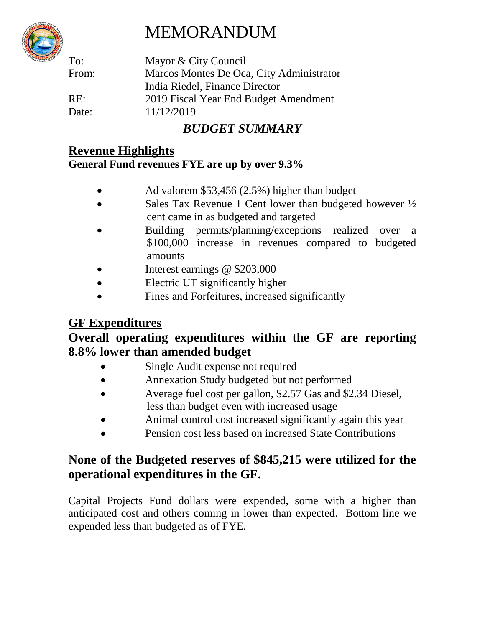# MEMORANDUM



To: Mayor & City Council From: Marcos Montes De Oca, City Administrator India Riedel, Finance Director RE: 2019 Fiscal Year End Budget Amendment Date: 11/12/2019

# *BUDGET SUMMARY*

## **Revenue Highlights**

## **General Fund revenues FYE are up by over 9.3%**

- Ad valorem \$53,456 (2.5%) higher than budget
- Sales Tax Revenue 1 Cent lower than budgeted however  $\frac{1}{2}$ cent came in as budgeted and targeted
- Building permits/planning/exceptions realized over a \$100,000 increase in revenues compared to budgeted amounts
- Interest earnings @ \$203,000
- Electric UT significantly higher
- Fines and Forfeitures, increased significantly

## **GF Expenditures**

## **Overall operating expenditures within the GF are reporting 8.8% lower than amended budget**

- Single Audit expense not required
- Annexation Study budgeted but not performed
- Average fuel cost per gallon, \$2.57 Gas and \$2.34 Diesel, less than budget even with increased usage
- Animal control cost increased significantly again this year
- Pension cost less based on increased State Contributions

## **None of the Budgeted reserves of \$845,215 were utilized for the operational expenditures in the GF.**

Capital Projects Fund dollars were expended, some with a higher than anticipated cost and others coming in lower than expected. Bottom line we expended less than budgeted as of FYE.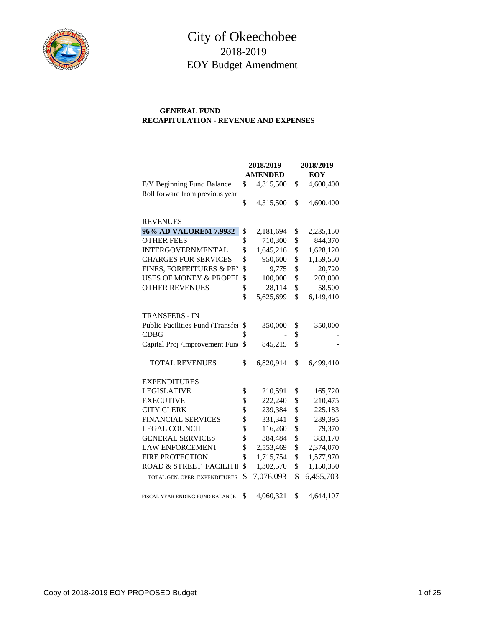

## City of Okeechobee 2018-2019 EOY Budget Amendment

#### **GENERAL FUND RECAPITULATION - REVENUE AND EXPENSES**

|                                   | 2018/2019       | 2018/2019 |            |  |  |
|-----------------------------------|-----------------|-----------|------------|--|--|
|                                   | <b>AMENDED</b>  |           | <b>EOY</b> |  |  |
| F/Y Beginning Fund Balance        | \$<br>4,315,500 | \$        | 4,600,400  |  |  |
| Roll forward from previous year   |                 |           |            |  |  |
|                                   | \$<br>4,315,500 | \$        | 4,600,400  |  |  |
| <b>REVENUES</b>                   |                 |           |            |  |  |
| 96% AD VALOREM 7.9932             | \$<br>2,181,694 | \$        | 2,235,150  |  |  |
| <b>OTHER FEES</b>                 | \$<br>710,300   | \$        | 844,370    |  |  |
| INTERGOVERNMENTAL                 | \$<br>1,645,216 | \$        | 1,628,120  |  |  |
| <b>CHARGES FOR SERVICES</b>       | \$<br>950,600   | \$        | 1,159,550  |  |  |
| FINES, FORFEITURES & PEN          | \$<br>9,775     | \$        | 20,720     |  |  |
| <b>USES OF MONEY &amp; PROPEF</b> | \$<br>100,000   | \$        | 203,000    |  |  |
| <b>OTHER REVENUES</b>             | \$<br>28,114    | \$        | 58,500     |  |  |
|                                   | \$<br>5,625,699 | \$        | 6,149,410  |  |  |
| <b>TRANSFERS - IN</b>             |                 |           |            |  |  |
| Public Facilities Fund (Transfer  | \$<br>350,000   | \$        | 350,000    |  |  |
| <b>CDBG</b>                       | \$              | \$        |            |  |  |
| Capital Proj /Improvement Funo    | \$<br>845,215   | \$        |            |  |  |
| <b>TOTAL REVENUES</b>             | \$<br>6,820,914 | \$        | 6,499,410  |  |  |
| <b>EXPENDITURES</b>               |                 |           |            |  |  |
| <b>LEGISLATIVE</b>                | \$<br>210,591   | \$        | 165,720    |  |  |
| <b>EXECUTIVE</b>                  | \$<br>222,240   | \$        | 210,475    |  |  |
| <b>CITY CLERK</b>                 | \$<br>239,384   | \$        | 225,183    |  |  |
| <b>FINANCIAL SERVICES</b>         | \$<br>331,341   | \$        | 289,395    |  |  |
| <b>LEGAL COUNCIL</b>              | \$<br>116,260   | \$        | 79,370     |  |  |
| <b>GENERAL SERVICES</b>           | \$<br>384,484   | \$        | 383,170    |  |  |
| <b>LAW ENFORCEMENT</b>            | \$<br>2,553,469 | \$        | 2,374,070  |  |  |
| <b>FIRE PROTECTION</b>            | \$<br>1,715,754 | \$        | 1,577,970  |  |  |
| ROAD & STREET FACILITII           | \$<br>1,302,570 | \$        | 1,150,350  |  |  |
| TOTAL GEN. OPER. EXPENDITURES     | \$<br>7,076,093 | \$        | 6,455,703  |  |  |
| FISCAL YEAR ENDING FUND BALANCE   | \$<br>4,060,321 | \$        | 4,644,107  |  |  |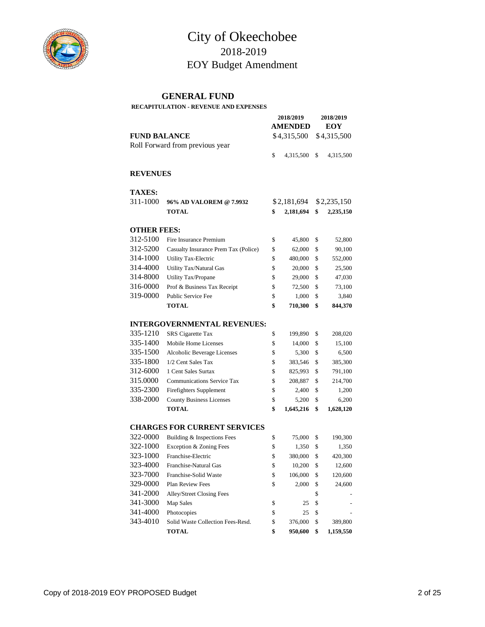

## City of Okeechobee 2018-2019 EOY Budget Amendment

#### **GENERAL FUND**

#### **RECAPITULATION - REVENUE AND EXPENSES**

|                     |                                      | 2018/2019   | 2018/2019      |     |             |  |
|---------------------|--------------------------------------|-------------|----------------|-----|-------------|--|
| <b>FUND BALANCE</b> |                                      |             | <b>AMENDED</b> | EOY |             |  |
|                     |                                      | \$4,315,500 |                |     | \$4,315,500 |  |
|                     | Roll Forward from previous year      |             |                |     |             |  |
|                     |                                      | \$          | 4,315,500      | \$  | 4,315,500   |  |
|                     |                                      |             |                |     |             |  |
| <b>REVENUES</b>     |                                      |             |                |     |             |  |
| <b>TAXES:</b>       |                                      |             |                |     |             |  |
| 311-1000            | 96% AD VALOREM @ 7.9932              |             | \$2,181,694    |     | \$2,235,150 |  |
|                     | <b>TOTAL</b>                         | \$          | 2,181,694      | \$  | 2,235,150   |  |
| <b>OTHER FEES:</b>  |                                      |             |                |     |             |  |
| 312-5100            | Fire Insurance Premium               | \$          | 45,800         | \$  | 52,800      |  |
| 312-5200            | Casualty Insurance Prem Tax (Police) | \$          | 62,000         | \$  | 90,100      |  |
| 314-1000            | <b>Utility Tax-Electric</b>          | \$          | 480,000        | \$  | 552,000     |  |
| 314-4000            | Utility Tax/Natural Gas              | \$          | 20,000         | \$  | 25,500      |  |
| 314-8000            | Utility Tax/Propane                  | \$          | 29,000         | \$  | 47,030      |  |
| 316-0000            | Prof & Business Tax Receipt          | \$          | 72,500         | \$  | 73,100      |  |
| 319-0000            | <b>Public Service Fee</b>            | \$          | 1,000          | \$  | 3,840       |  |
|                     | <b>TOTAL</b>                         | \$          | 710,300        | \$  | 844,370     |  |
|                     | <b>INTERGOVERNMENTAL REVENUES:</b>   |             |                |     |             |  |
| 335-1210            | <b>SRS</b> Cigarette Tax             | \$          | 199,890        | \$  | 208,020     |  |
| 335-1400            | Mobile Home Licenses                 | \$          | 14,000         | \$  | 15,100      |  |
| 335-1500            | Alcoholic Beverage Licenses          | \$          | 5,300          | \$  | 6,500       |  |
| 335-1800            | 1/2 Cent Sales Tax                   | \$          | 383,546        | \$  | 385,300     |  |
| 312-6000            | 1 Cent Sales Surtax                  | \$          | 825,993        | \$  | 791,100     |  |
| 315.0000            | <b>Communications Service Tax</b>    | \$          | 208,887        | \$  | 214,700     |  |
| 335-2300            | Firefighters Supplement              | \$          | 2,400          | \$  | 1,200       |  |
| 338-2000            | <b>County Business Licenses</b>      | \$          | 5,200          | \$  | 6,200       |  |
|                     | <b>TOTAL</b>                         | \$          | 1,645,216      | \$  | 1,628,120   |  |
|                     | <b>CHARGES FOR CURRENT SERVICES</b>  |             |                |     |             |  |
| 322-0000            | Building & Inspections Fees          | \$          | 75,000         | \$  | 190,300     |  |
| 322-1000            | Exception & Zoning Fees              | \$          | 1,350          | \$  | 1,350       |  |
| 323-1000            | Franchise-Electric                   | \$          | 380,000        | \$  | 420,300     |  |
| 323-4000            | Franchise-Natural Gas                | \$          | 10,200         | \$  | 12,600      |  |
| 323-7000            | Franchise-Solid Waste                | \$          | 106,000        | \$  | 120,600     |  |
| 329-0000            | Plan Review Fees                     | \$          | 2,000          | \$  | 24,600      |  |
| 341-2000            | Alley/Street Closing Fees            |             |                | \$  |             |  |
| 341-3000            | Map Sales                            | \$          | 25             | \$  |             |  |
| 341-4000            | Photocopies                          | \$          | 25             | \$  |             |  |
| 343-4010            | Solid Waste Collection Fees-Resd.    | \$          | 376,000        | \$  | 389,800     |  |
|                     | <b>TOTAL</b>                         | \$          | 950,600        | \$  | 1,159,550   |  |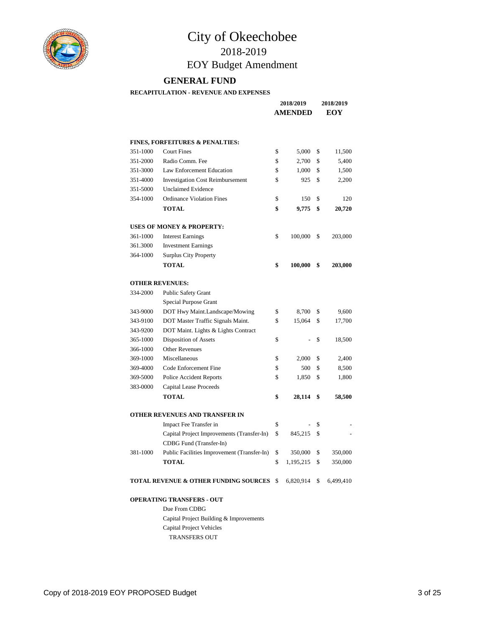

# City of Okeechobee

## 2018-2019 EOY Budget Amendment

#### **GENERAL FUND**

**RECAPITULATION - REVENUE AND EXPENSES**

|                        |                                                  | 2018/2019<br><b>AMENDED</b> |    | 2018/2019<br>EOY |
|------------------------|--------------------------------------------------|-----------------------------|----|------------------|
|                        | <b>FINES, FORFEITURES &amp; PENALTIES:</b>       |                             |    |                  |
| 351-1000               | <b>Court Fines</b>                               | \$<br>5,000                 | \$ | 11,500           |
| 351-2000               | Radio Comm. Fee                                  | \$<br>2,700                 | \$ | 5,400            |
| 351-3000               | Law Enforcement Education                        | \$<br>1,000                 | \$ | 1,500            |
| 351-4000               | <b>Investigation Cost Reimbursement</b>          | \$<br>925                   | \$ | 2,200            |
| 351-5000               | <b>Unclaimed Evidence</b>                        |                             |    |                  |
| 354-1000               | <b>Ordinance Violation Fines</b>                 | \$<br>150                   | \$ | 120              |
|                        | <b>TOTAL</b>                                     | \$<br>9,775                 | \$ | 20,720           |
|                        | <b>USES OF MONEY &amp; PROPERTY:</b>             |                             |    |                  |
| 361-1000               | <b>Interest Earnings</b>                         | \$<br>100,000               | \$ | 203,000          |
| 361.3000               | <b>Investment Earnings</b>                       |                             |    |                  |
| 364-1000               | <b>Surplus City Property</b>                     |                             |    |                  |
|                        | <b>TOTAL</b>                                     | \$<br>100,000               | \$ | 203,000          |
| <b>OTHER REVENUES:</b> |                                                  |                             |    |                  |
| 334-2000               | <b>Public Safety Grant</b>                       |                             |    |                  |
|                        | Special Purpose Grant                            |                             |    |                  |
| 343-9000               | DOT Hwy Maint.Landscape/Mowing                   | \$<br>8,700                 | \$ | 9,600            |
| 343-9100               | DOT Master Traffic Signals Maint.                | \$<br>15,064                | \$ | 17,700           |
| 343-9200               | DOT Maint. Lights & Lights Contract              |                             |    |                  |
| 365-1000               | Disposition of Assets                            | \$                          | \$ | 18,500           |
| 366-1000               | <b>Other Revenues</b>                            |                             |    |                  |
| 369-1000               | Miscellaneous                                    | \$<br>2,000                 | \$ | 2,400            |
| 369-4000               | Code Enforcement Fine                            | \$<br>500                   | \$ | 8,500            |
| 369-5000               | Police Accident Reports                          | \$<br>1,850                 | \$ | 1,800            |
| 383-0000               | Capital Lease Proceeds                           |                             |    |                  |
|                        | <b>TOTAL</b>                                     | \$<br>28,114                | \$ | 58,500           |
|                        | OTHER REVENUES AND TRANSFER IN                   |                             |    |                  |
|                        | Impact Fee Transfer in                           | \$                          | \$ |                  |
|                        | Capital Project Improvements (Transfer-In)       | \$<br>845,215               | \$ |                  |
|                        | CDBG Fund (Transfer-In)                          |                             |    |                  |
| 381-1000               | Public Facilities Improvement (Transfer-In)      | \$<br>350,000               | \$ | 350,000          |
|                        | <b>TOTAL</b>                                     | \$<br>1,195,215             | \$ | 350,000          |
|                        | <b>TOTAL REVENUE &amp; OTHER FUNDING SOURCES</b> | \$<br>6,820,914             | \$ | 6,499,410        |
|                        | <b>OPERATING TRANSFERS - OUT</b>                 |                             |    |                  |
|                        | Due From CDBG                                    |                             |    |                  |
|                        | Capital Project Building & Improvements          |                             |    |                  |
|                        | Capital Project Vehicles                         |                             |    |                  |
|                        | <b>TRANSFERS OUT</b>                             |                             |    |                  |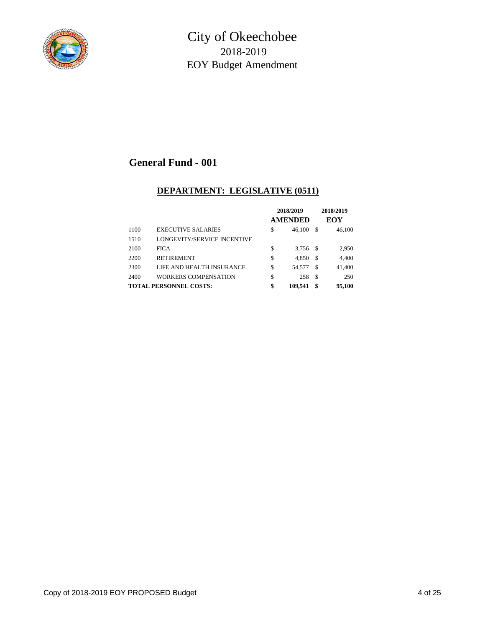

## **DEPARTMENT: LEGISLATIVE (0511)**

|      |                               | 2018/2019<br><b>AMENDED</b> |      | 2018/2019<br>EOY |
|------|-------------------------------|-----------------------------|------|------------------|
| 1100 | <b>EXECUTIVE SALARIES</b>     | \$<br>46.100                | S    | 46.100           |
| 1510 | LONGEVITY/SERVICE INCENTIVE   |                             |      |                  |
| 2100 | <b>FICA</b>                   | \$<br>3.756                 | - \$ | 2,950            |
| 2200 | <b>RETIREMENT</b>             | \$<br>4.850                 | \$   | 4,400            |
| 2300 | LIFE AND HEALTH INSURANCE     | \$<br>54,577                | \$.  | 41,400           |
| 2400 | WORKERS COMPENSATION          | \$<br>258                   | \$   | 250              |
|      | <b>TOTAL PERSONNEL COSTS:</b> | \$<br>109.541               | \$   | 95.100           |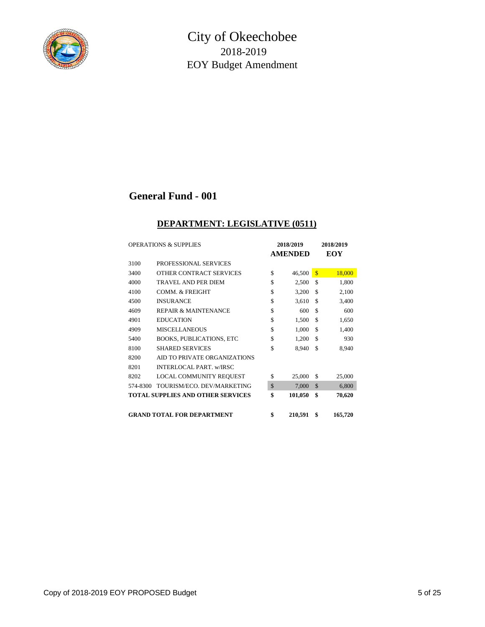

#### **DEPARTMENT: LEGISLATIVE (0511)**

|          | <b>OPERATIONS &amp; SUPPLIES</b>  |              | 2018/2019      |               | <b>2018/2019</b> |
|----------|-----------------------------------|--------------|----------------|---------------|------------------|
|          |                                   |              | <b>AMENDED</b> |               | EOY              |
| 3100     | PROFESSIONAL SERVICES             |              |                |               |                  |
| 3400     | OTHER CONTRACT SERVICES           | \$           | 46,500         | $\mathbf{s}$  | 18,000           |
| 4000     | <b>TRAVEL AND PER DIEM</b>        | \$           | 2,500          | \$            | 1,800            |
| 4100     | <b>COMM. &amp; FREIGHT</b>        | \$           | 3,200          | \$.           | 2,100            |
| 4500     | <b>INSURANCE</b>                  | \$           | 3,610          | \$            | 3,400            |
| 4609     | <b>REPAIR &amp; MAINTENANCE</b>   | \$           | 600            | \$            | 600              |
| 4901     | <b>EDUCATION</b>                  | \$           | 1,500          | \$            | 1,650            |
| 4909     | <b>MISCELLANEOUS</b>              | \$           | 1,000          | \$            | 1,400            |
| 5400     | <b>BOOKS, PUBLICATIONS, ETC</b>   | \$           | 1,200          | \$            | 930              |
| 8100     | <b>SHARED SERVICES</b>            | \$           | 8,940          | \$            | 8,940            |
| 8200     | AID TO PRIVATE ORGANIZATIONS      |              |                |               |                  |
| 8201     | <b>INTERLOCAL PART. w/IRSC</b>    |              |                |               |                  |
| 8202     | LOCAL COMMUNITY REQUEST           | \$           | 25,000         | \$            | 25,000           |
| 574-8300 | TOURISM/ECO. DEV/MARKETING        | $\mathbb{S}$ | 7,000          | $\mathcal{S}$ | 6,800            |
|          | TOTAL SUPPLIES AND OTHER SERVICES | \$           | 101,050        | \$            | 70,620           |
|          |                                   |              |                |               |                  |
|          | <b>GRAND TOTAL FOR DEPARTMENT</b> | \$           | 210,591        | \$            | 165,720          |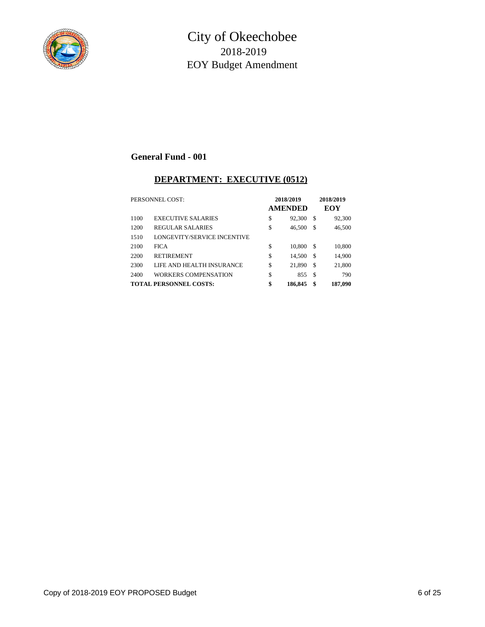

#### **DEPARTMENT: EXECUTIVE (0512)**

|      | PERSONNEL COST:               | 2018/2019<br><b>AMENDED</b> |               | 2018/2019<br>EOY |
|------|-------------------------------|-----------------------------|---------------|------------------|
| 1100 | <b>EXECUTIVE SALARIES</b>     | \$<br>92,300                | S             | 92,300           |
| 1200 | REGULAR SALARIES              | \$<br>46,500                | S             | 46,500           |
| 1510 | LONGEVITY/SERVICE INCENTIVE   |                             |               |                  |
| 2100 | <b>FICA</b>                   | \$<br>10,800                | <sup>\$</sup> | 10,800           |
| 2200 | <b>RETIREMENT</b>             | \$<br>14.500                | S             | 14,900           |
| 2300 | LIFE AND HEALTH INSURANCE     | \$<br>21,890                | \$            | 21,800           |
| 2400 | WORKERS COMPENSATION          | \$<br>855                   | S             | 790              |
|      | <b>TOTAL PERSONNEL COSTS:</b> | \$<br>186,845               | \$            | 187,090          |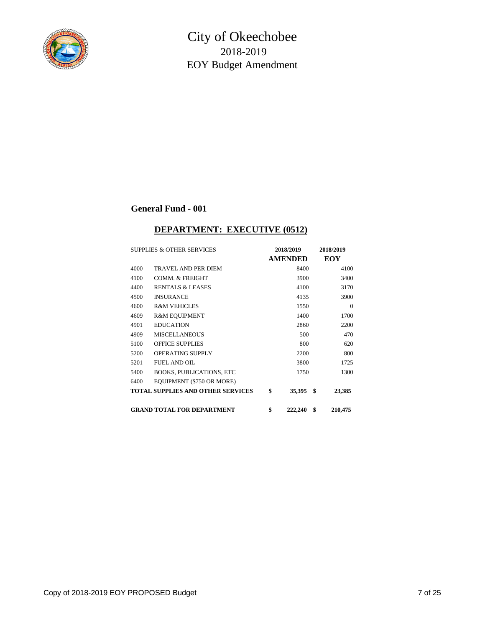

## **DEPARTMENT: EXECUTIVE (0512)**

|      | <b>SUPPLIES &amp; OTHER SERVICES</b>     | 2018/2019      | 2018/2019     |
|------|------------------------------------------|----------------|---------------|
|      |                                          | <b>AMENDED</b> | EOY           |
| 4000 | TRAVEL AND PER DIEM                      | 8400           | 4100          |
| 4100 | COMM. & FREIGHT                          | 3900           | 3400          |
| 4400 | <b>RENTALS &amp; LEASES</b>              | 4100           | 3170          |
| 4500 | <b>INSURANCE</b>                         | 4135           | 3900          |
| 4600 | <b>R&amp;M VEHICLES</b>                  | 1550           | $\Omega$      |
| 4609 | <b>R&amp;M EQUIPMENT</b>                 | 1400           | 1700          |
| 4901 | <b>EDUCATION</b>                         | 2860           | 2200          |
| 4909 | <b>MISCELLANEOUS</b>                     | 500            | 470           |
| 5100 | <b>OFFICE SUPPLIES</b>                   | 800            | 620           |
| 5200 | <b>OPERATING SUPPLY</b>                  | 2200           | 800           |
| 5201 | <b>FUEL AND OIL</b>                      | 3800           | 1725          |
| 5400 | <b>BOOKS, PUBLICATIONS, ETC</b>          | 1750           | 1300          |
| 6400 | EQUIPMENT (\$750 OR MORE)                |                |               |
|      | <b>TOTAL SUPPLIES AND OTHER SERVICES</b> | \$<br>35,395   | \$<br>23,385  |
|      | <b>GRAND TOTAL FOR DEPARTMENT</b>        | \$<br>222,240  | \$<br>210,475 |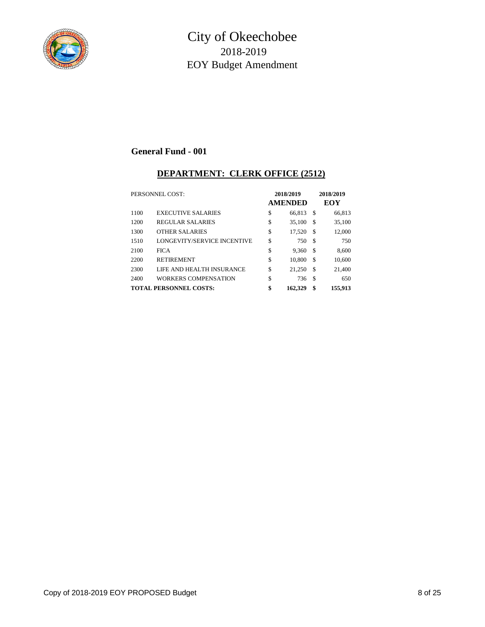

#### **DEPARTMENT: CLERK OFFICE (2512)**

|      | PERSONNEL COST:                    | 2018/2019<br><b>AMENDED</b> |    | 2018/2019<br>EOY |
|------|------------------------------------|-----------------------------|----|------------------|
| 1100 | <b>EXECUTIVE SALARIES</b>          | \$<br>66.813                | S  | 66,813           |
| 1200 | <b>REGULAR SALARIES</b>            | \$<br>35,100                | \$ | 35,100           |
| 1300 | <b>OTHER SALARIES</b>              | \$<br>17,520                | \$ | 12,000           |
| 1510 | <b>LONGEVITY/SERVICE INCENTIVE</b> | \$<br>750                   | \$ | 750              |
| 2100 | <b>FICA</b>                        | \$<br>9,360                 | \$ | 8.600            |
| 2200 | <b>RETIREMENT</b>                  | \$<br>10.800                | S  | 10,600           |
| 2300 | LIFE AND HEALTH INSURANCE          | \$<br>21,250                | \$ | 21,400           |
| 2400 | WORKERS COMPENSATION               | \$<br>736                   | \$ | 650              |
|      | <b>TOTAL PERSONNEL COSTS:</b>      | \$<br>162,329               | \$ | 155,913          |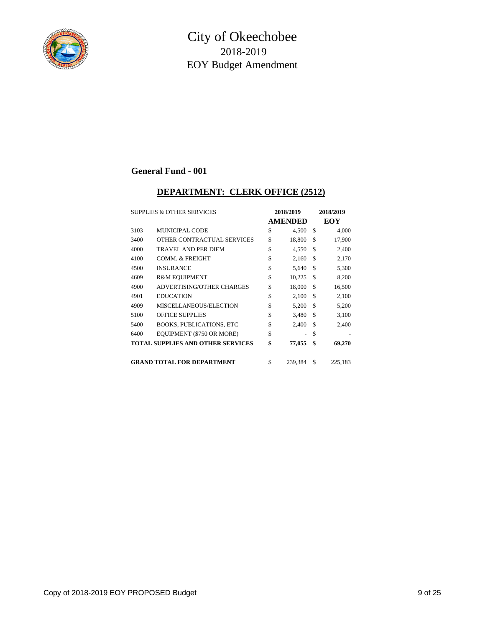

#### **DEPARTMENT: CLERK OFFICE (2512)**

| <b>SUPPLIES &amp; OTHER SERVICES</b> |                                          | 2018/2019 |                | 2018/2019 |         |
|--------------------------------------|------------------------------------------|-----------|----------------|-----------|---------|
|                                      |                                          |           | <b>AMENDED</b> |           | EOY     |
| 3103                                 | <b>MUNICIPAL CODE</b>                    | \$        | 4,500          | \$        | 4,000   |
| 3400                                 | OTHER CONTRACTUAL SERVICES               | \$        | 18,800         | \$        | 17,900  |
| 4000                                 | <b>TRAVEL AND PER DIEM</b>               | \$        | 4,550          | £.        | 2,400   |
| 4100                                 | <b>COMM. &amp; FREIGHT</b>               | \$        | 2,160          | \$        | 2,170   |
| 4500                                 | <b>INSURANCE</b>                         | \$        | 5,640          | \$        | 5,300   |
| 4609                                 | <b>R&amp;M EQUIPMENT</b>                 | \$        | 10,225         | \$        | 8,200   |
| 4900                                 | <b>ADVERTISING/OTHER CHARGES</b>         | \$        | 18,000         | \$        | 16,500  |
| 4901                                 | <b>EDUCATION</b>                         | \$        | 2,100          | \$        | 2,100   |
| 4909                                 | MISCELLANEOUS/ELECTION                   | \$        | 5,200          | \$        | 5,200   |
| 5100                                 | <b>OFFICE SUPPLIES</b>                   | \$        | 3,480          | \$        | 3,100   |
| 5400                                 | <b>BOOKS, PUBLICATIONS, ETC</b>          | \$        | 2,400          | \$        | 2,400   |
| 6400                                 | EQUIPMENT (\$750 OR MORE)                | \$        |                | \$        |         |
|                                      | <b>TOTAL SUPPLIES AND OTHER SERVICES</b> | \$        | 77,055         | \$        | 69,270  |
|                                      | <b>GRAND TOTAL FOR DEPARTMENT</b>        | \$        | 239.384        | \$.       | 225,183 |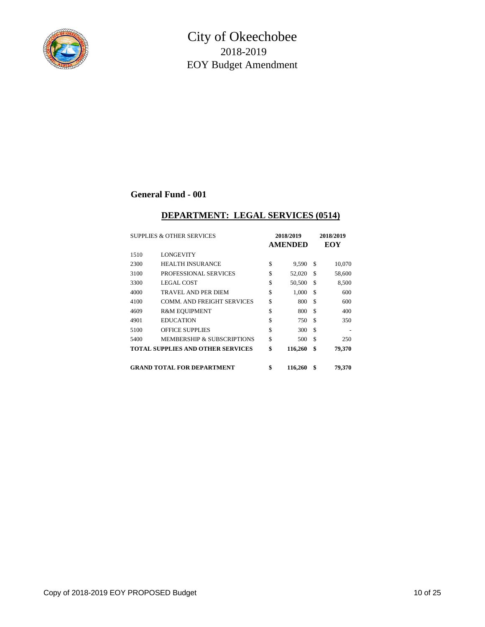

#### **DEPARTMENT: LEGAL SERVICES (0514)**

| <b>SUPPLIES &amp; OTHER SERVICES</b> |                                          | 2018/2019 |                | 2018/2019 |        |
|--------------------------------------|------------------------------------------|-----------|----------------|-----------|--------|
|                                      |                                          |           | <b>AMENDED</b> |           | EOY    |
| 1510                                 | <b>LONGEVITY</b>                         |           |                |           |        |
| 2300                                 | <b>HEALTH INSURANCE</b>                  | \$        | 9,590          | \$        | 10,070 |
| 3100                                 | PROFESSIONAL SERVICES                    | \$        | 52,020         | \$        | 58,600 |
| 3300                                 | <b>LEGAL COST</b>                        | \$        | 50,500         | \$        | 8,500  |
| 4000                                 | TRAVEL AND PER DIEM                      | \$        | 1,000          | \$        | 600    |
| 4100                                 | <b>COMM. AND FREIGHT SERVICES</b>        | \$        | 800            | \$        | 600    |
| 4609                                 | <b>R&amp;M EQUIPMENT</b>                 | \$        | 800            | \$        | 400    |
| 4901                                 | <b>EDUCATION</b>                         | \$        | 750            | \$        | 350    |
| 5100                                 | <b>OFFICE SUPPLIES</b>                   | \$        | 300            | \$.       |        |
| 5400                                 | <b>MEMBERSHIP &amp; SUBSCRIPTIONS</b>    | \$        | 500            | \$        | 250    |
|                                      | <b>TOTAL SUPPLIES AND OTHER SERVICES</b> | \$        | 116,260        | \$        | 79,370 |
|                                      | <b>GRAND TOTAL FOR DEPARTMENT</b>        | \$        | 116,260        | \$        | 79.370 |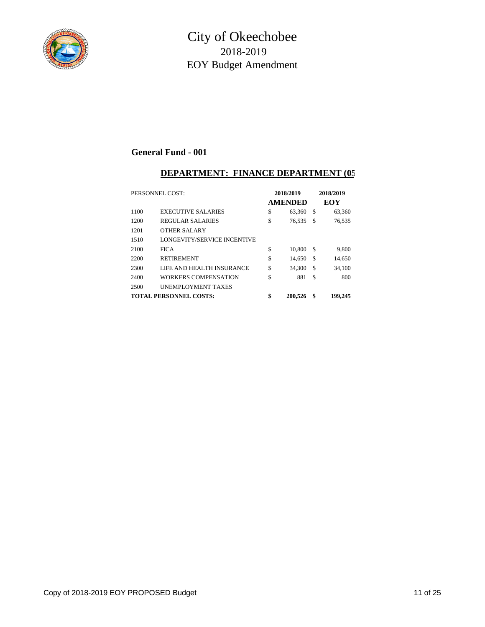

## **DEPARTMENT: FINANCE DEPARTMENT (05**

| PERSONNEL COST: |                               | 2018/2019<br><b>AMENDED</b> |    | 2018/2019<br>EOY |
|-----------------|-------------------------------|-----------------------------|----|------------------|
| 1100            | <b>EXECUTIVE SALARIES</b>     | \$<br>63,360                | S  | 63,360           |
| 1200            | <b>REGULAR SALARIES</b>       | \$<br>76,535                | \$ | 76,535           |
| 1201            | <b>OTHER SALARY</b>           |                             |    |                  |
| 1510            | LONGEVITY/SERVICE INCENTIVE   |                             |    |                  |
| 2100            | <b>FICA</b>                   | \$<br>10,800                | \$ | 9,800            |
| 2200            | <b>RETIREMENT</b>             | \$<br>14.650                | \$ | 14,650           |
| 2300            | LIFE AND HEALTH INSURANCE     | \$<br>34.300                | \$ | 34.100           |
| 2400            | WORKERS COMPENSATION          | \$<br>881                   | \$ | 800              |
| 2500            | <b>UNEMPLOYMENT TAXES</b>     |                             |    |                  |
|                 | <b>TOTAL PERSONNEL COSTS:</b> | \$<br>200.526               | \$ | 199,245          |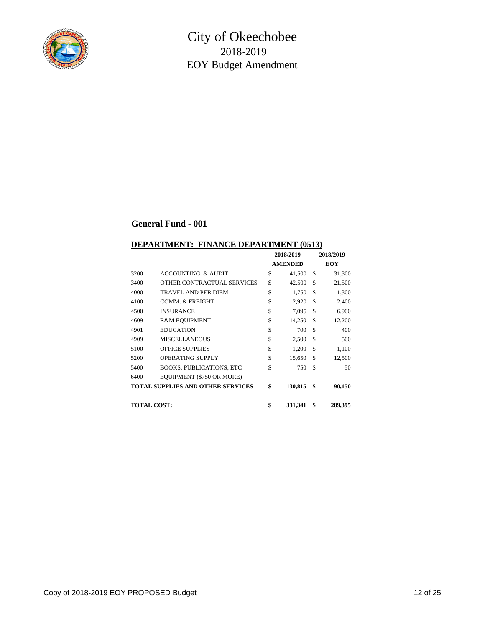

#### **DEPARTMENT: FINANCE DEPARTMENT (0513)**

|                    |                                          | 2018/2019 |                | 2018/2019 |         |
|--------------------|------------------------------------------|-----------|----------------|-----------|---------|
|                    |                                          |           | <b>AMENDED</b> |           | EOY     |
| 3200               | <b>ACCOUNTING &amp; AUDIT</b>            | \$        | 41,500         | S         | 31,300  |
| 3400               | OTHER CONTRACTUAL SERVICES               | \$        | 42,500         | \$        | 21,500  |
| 4000               | TRAVEL AND PER DIEM                      | \$        | 1,750          | \$        | 1,300   |
| 4100               | COMM. & FREIGHT                          | \$        | 2,920          | \$.       | 2,400   |
| 4500               | <b>INSURANCE</b>                         | \$        | 7,095          | S         | 6,900   |
| 4609               | <b>R&amp;M EQUIPMENT</b>                 | \$        | 14,250         | \$        | 12,200  |
| 4901               | <b>EDUCATION</b>                         | \$        | 700            | \$        | 400     |
| 4909               | <b>MISCELLANEOUS</b>                     | \$        | 2,500          | S         | 500     |
| 5100               | <b>OFFICE SUPPLIES</b>                   | \$        | 1,200          | \$.       | 1,100   |
| 5200               | <b>OPERATING SUPPLY</b>                  | \$        | 15,650         | \$.       | 12,500  |
| 5400               | <b>BOOKS, PUBLICATIONS, ETC</b>          | \$        | 750            | \$        | 50      |
| 6400               | EQUIPMENT (\$750 OR MORE)                |           |                |           |         |
|                    | <b>TOTAL SUPPLIES AND OTHER SERVICES</b> | \$        | 130,815        | \$        | 90,150  |
| <b>TOTAL COST:</b> |                                          | \$        | 331,341        | \$        | 289,395 |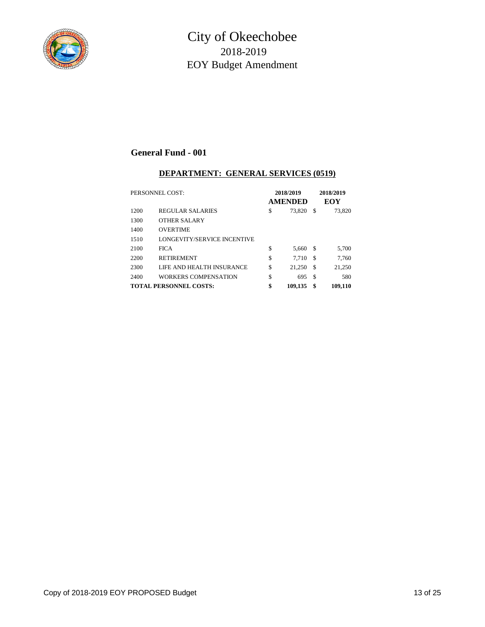

#### **DEPARTMENT: GENERAL SERVICES (0519)**

| PERSONNEL COST: |                                    | 2018/2019<br><b>AMENDED</b> |         |     | 2018/2019<br>EOY |  |  |
|-----------------|------------------------------------|-----------------------------|---------|-----|------------------|--|--|
| 1200            | REGULAR SALARIES                   | \$                          | 73,820  | \$  | 73,820           |  |  |
| 1300            | OTHER SALARY                       |                             |         |     |                  |  |  |
| 1400            | <b>OVERTIME</b>                    |                             |         |     |                  |  |  |
| 1510            | <b>LONGEVITY/SERVICE INCENTIVE</b> |                             |         |     |                  |  |  |
| 2100            | <b>FICA</b>                        | \$                          | 5,660   | S   | 5,700            |  |  |
| 2200            | <b>RETIREMENT</b>                  | \$                          | 7.710   | S   | 7.760            |  |  |
| 2300            | LIFE AND HEALTH INSURANCE          | S                           | 21,250  | \$  | 21,250           |  |  |
| 2400            | WORKERS COMPENSATION               | \$                          | 695     | \$. | 580              |  |  |
|                 | <b>TOTAL PERSONNEL COSTS:</b>      | \$                          | 109,135 | \$  | 109,110          |  |  |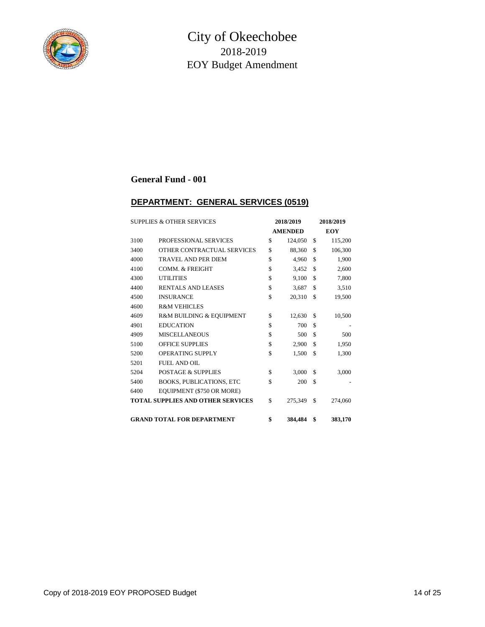

#### **DEPARTMENT: GENERAL SERVICES (0519)**

|      | <b>SUPPLIES &amp; OTHER SERVICES</b><br>2018/2019 |    | 2018/2019      |    |            |
|------|---------------------------------------------------|----|----------------|----|------------|
|      |                                                   |    | <b>AMENDED</b> |    | <b>EOY</b> |
| 3100 | PROFESSIONAL SERVICES                             | \$ | 124,050        | \$ | 115,200    |
| 3400 | OTHER CONTRACTUAL SERVICES                        | \$ | 88,360         | \$ | 106,300    |
| 4000 | <b>TRAVEL AND PER DIEM</b>                        | \$ | 4.960          | \$ | 1,900      |
| 4100 | <b>COMM. &amp; FREIGHT</b>                        | \$ | 3,452          | \$ | 2,600      |
| 4300 | <b>UTILITIES</b>                                  | \$ | 9,100          | \$ | 7,800      |
| 4400 | <b>RENTALS AND LEASES</b>                         | \$ | 3,687          | \$ | 3,510      |
| 4500 | <b>INSURANCE</b>                                  | \$ | 20,310         | \$ | 19,500     |
| 4600 | <b>R&amp;M VEHICLES</b>                           |    |                |    |            |
| 4609 | R&M BUILDING & EQUIPMENT                          | \$ | 12,630         | \$ | 10,500     |
| 4901 | <b>EDUCATION</b>                                  | \$ | 700            | \$ |            |
| 4909 | <b>MISCELLANEOUS</b>                              | \$ | 500            | \$ | 500        |
| 5100 | <b>OFFICE SUPPLIES</b>                            | \$ | 2,900          | \$ | 1,950      |
| 5200 | <b>OPERATING SUPPLY</b>                           | \$ | 1,500          | \$ | 1,300      |
| 5201 | <b>FUEL AND OIL</b>                               |    |                |    |            |
| 5204 | <b>POSTAGE &amp; SUPPLIES</b>                     | \$ | 3,000          | \$ | 3,000      |
| 5400 | <b>BOOKS, PUBLICATIONS, ETC</b>                   | \$ | 200            | \$ |            |
| 6400 | EQUIPMENT (\$750 OR MORE)                         |    |                |    |            |
|      | <b>TOTAL SUPPLIES AND OTHER SERVICES</b>          | \$ | 275,349        | \$ | 274,060    |
|      | <b>GRAND TOTAL FOR DEPARTMENT</b>                 | \$ | 384,484        | \$ | 383,170    |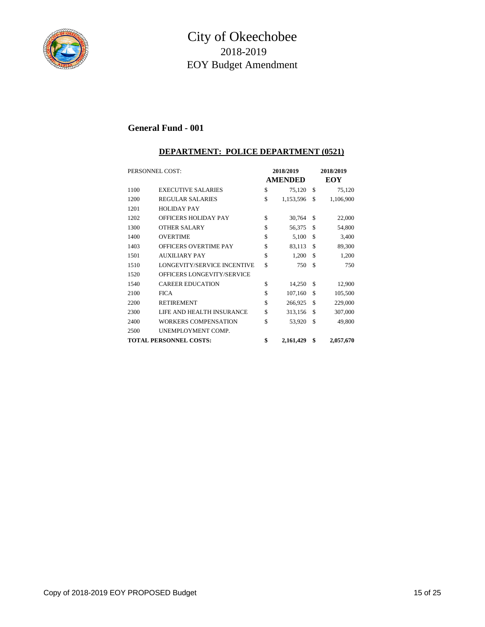

#### **DEPARTMENT: POLICE DEPARTMENT (0521)**

| PERSONNEL COST:               |                                    | 2018/2019<br><b>AMENDED</b> |           |    | 2018/2019<br>EOY |
|-------------------------------|------------------------------------|-----------------------------|-----------|----|------------------|
| 1100                          | <b>EXECUTIVE SALARIES</b>          | \$                          | 75,120    | \$ | 75,120           |
| 1200                          | <b>REGULAR SALARIES</b>            | \$                          | 1,153,596 | \$ | 1,106,900        |
| 1201                          | <b>HOLIDAY PAY</b>                 |                             |           |    |                  |
| 1202                          | <b>OFFICERS HOLIDAY PAY</b>        | \$                          | 30,764    | \$ | 22,000           |
| 1300                          | <b>OTHER SALARY</b>                | \$                          | 56,375    | \$ | 54,800           |
| 1400                          | <b>OVERTIME</b>                    | \$                          | 5,100     | \$ | 3,400            |
| 1403                          | <b>OFFICERS OVERTIME PAY</b>       | \$                          | 83,113    | \$ | 89,300           |
| 1501                          | <b>AUXILIARY PAY</b>               | \$                          | 1,200     | \$ | 1,200            |
| 1510                          | <b>LONGEVITY/SERVICE INCENTIVE</b> | \$                          | 750       | \$ | 750              |
| 1520                          | OFFICERS LONGEVITY/SERVICE         |                             |           |    |                  |
| 1540                          | <b>CAREER EDUCATION</b>            | \$                          | 14,250    | S  | 12,900           |
| 2100                          | <b>FICA</b>                        | \$                          | 107,160   | S  | 105,500          |
| 2200                          | <b>RETIREMENT</b>                  | \$                          | 266,925   | \$ | 229,000          |
| 2300                          | LIFE AND HEALTH INSURANCE          | \$                          | 313,156   | \$ | 307,000          |
| 2400                          | WORKERS COMPENSATION               | \$                          | 53,920    | \$ | 49,800           |
| 2500                          | UNEMPLOYMENT COMP.                 |                             |           |    |                  |
| <b>TOTAL PERSONNEL COSTS:</b> |                                    | \$                          | 2,161,429 | \$ | 2,057,670        |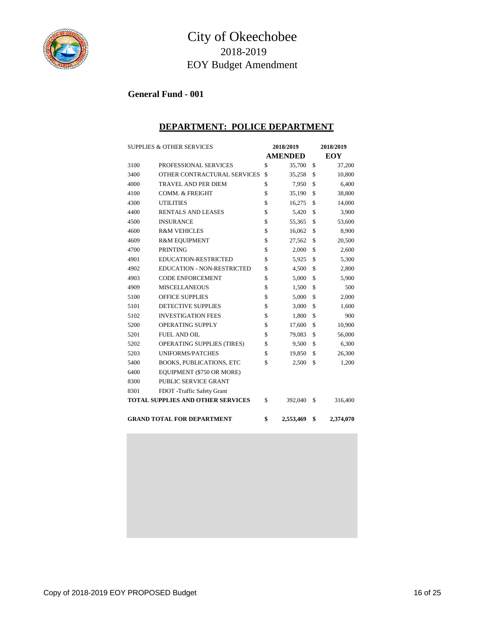

## City of Okeechobee 2018-2019 EOY Budget Amendment

## **General Fund - 001**

#### **DEPARTMENT: POLICE DEPARTMENT**

| <b>SUPPLIES &amp; OTHER SERVICES</b> |                                          | 2018/2019       | 2018/2019    |           |  |
|--------------------------------------|------------------------------------------|-----------------|--------------|-----------|--|
|                                      |                                          | <b>AMENDED</b>  | EOY          |           |  |
| 3100                                 | PROFESSIONAL SERVICES                    | \$<br>35,700    | \$           | 37,200    |  |
| 3400                                 | OTHER CONTRACTURAL SERVICES              | \$<br>35,258    | \$           | 10,800    |  |
| 4000                                 | <b>TRAVEL AND PER DIEM</b>               | \$<br>7,950     | \$           | 6,400     |  |
| 4100                                 | <b>COMM. &amp; FREIGHT</b>               | \$<br>35,190    | \$           | 38,800    |  |
| 4300                                 | <b>UTILITIES</b>                         | \$<br>16,275    | $\mathbb{S}$ | 14,000    |  |
| 4400                                 | <b>RENTALS AND LEASES</b>                | \$<br>5,420     | \$           | 3,900     |  |
| 4500                                 | <b>INSURANCE</b>                         | \$<br>55,365    | \$           | 53,600    |  |
| 4600                                 | <b>R&amp;M VEHICLES</b>                  | \$<br>16,062    | \$           | 8,900     |  |
| 4609                                 | <b>R&amp;M EQUIPMENT</b>                 | \$<br>27,562    | \$           | 20,500    |  |
| 4700                                 | <b>PRINTING</b>                          | \$<br>2,000     | \$           | 2,600     |  |
| 4901                                 | <b>EDUCATION-RESTRICTED</b>              | \$<br>5,925     | \$           | 5,300     |  |
| 4902                                 | <b>EDUCATION - NON-RESTRICTED</b>        | \$<br>4,500     | \$           | 2,800     |  |
| 4903                                 | <b>CODE ENFORCEMENT</b>                  | \$<br>5,000     | \$           | 5,900     |  |
| 4909                                 | <b>MISCELLANEOUS</b>                     | \$<br>1,500     | \$           | 500       |  |
| 5100                                 | <b>OFFICE SUPPLIES</b>                   | \$<br>5,000     | \$           | 2,000     |  |
| 5101                                 | <b>DETECTIVE SUPPLIES</b>                | \$<br>3,000     | \$           | 1,600     |  |
| 5102                                 | <b>INVESTIGATION FEES</b>                | \$<br>1,800     | \$           | 900       |  |
| 5200                                 | <b>OPERATING SUPPLY</b>                  | \$<br>17,600    | \$           | 10,900    |  |
| 5201                                 | <b>FUEL AND OIL</b>                      | \$<br>79,083    | \$           | 56,000    |  |
| 5202                                 | OPERATING SUPPLIES (TIRES)               | \$<br>9,500     | \$           | 6,300     |  |
| 5203                                 | <b>UNIFORMS/PATCHES</b>                  | \$<br>19,850    | \$           | 26,300    |  |
| 5400                                 | <b>BOOKS, PUBLICATIONS, ETC</b>          | \$<br>2,500     | \$           | 1,200     |  |
| 6400                                 | EQUIPMENT (\$750 OR MORE)                |                 |              |           |  |
| 8300                                 | <b>PUBLIC SERVICE GRANT</b>              |                 |              |           |  |
| 8301                                 | FDOT -Traffic Safety Grant               |                 |              |           |  |
|                                      | <b>TOTAL SUPPLIES AND OTHER SERVICES</b> | \$<br>392,040   | \$           | 316,400   |  |
|                                      |                                          |                 |              |           |  |
|                                      | <b>GRAND TOTAL FOR DEPARTMENT</b>        | \$<br>2,553,469 | \$           | 2,374,070 |  |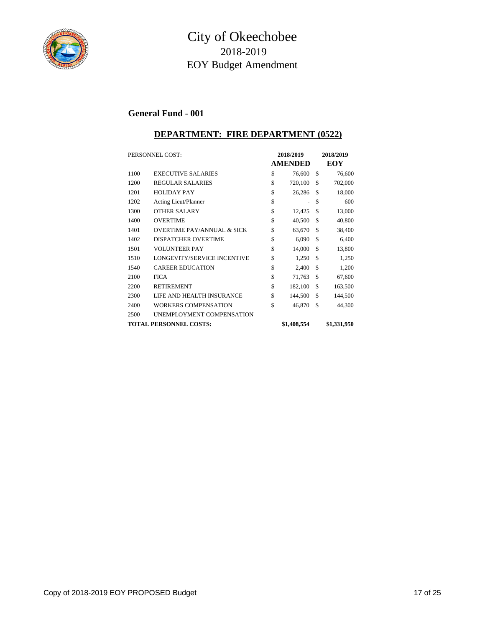

## City of Okeechobee 2018-2019 EOY Budget Amendment

#### **General Fund - 001**

#### **DEPARTMENT: FIRE DEPARTMENT (0522)**

| PERSONNEL COST: |                                       | 2018/2019 |                |    | 2018/2019   |  |  |
|-----------------|---------------------------------------|-----------|----------------|----|-------------|--|--|
|                 |                                       |           | <b>AMENDED</b> |    | EOY         |  |  |
| 1100            | <b>EXECUTIVE SALARIES</b>             | \$        | 76,600         | \$ | 76,600      |  |  |
| 1200            | <b>REGULAR SALARIES</b>               | \$        | 720,100        | \$ | 702,000     |  |  |
| 1201            | <b>HOLIDAY PAY</b>                    | \$        | 26,286         | \$ | 18,000      |  |  |
| 1202            | Acting Lieut/Planner                  | \$        |                | \$ | 600         |  |  |
| 1300            | <b>OTHER SALARY</b>                   | \$        | 12,425         | \$ | 13,000      |  |  |
| 1400            | <b>OVERTIME</b>                       | \$        | 40,500         | \$ | 40,800      |  |  |
| 1401            | <b>OVERTIME PAY/ANNUAL &amp; SICK</b> | \$        | 63,670         | \$ | 38,400      |  |  |
| 1402            | <b>DISPATCHER OVERTIME</b>            | \$        | 6,090          | \$ | 6,400       |  |  |
| 1501            | <b>VOLUNTEER PAY</b>                  | \$        | 14,000         | \$ | 13,800      |  |  |
| 1510            | LONGEVITY/SERVICE INCENTIVE           | \$        | 1,250          | \$ | 1,250       |  |  |
| 1540            | <b>CAREER EDUCATION</b>               | \$        | 2,400          | \$ | 1,200       |  |  |
| 2100            | <b>FICA</b>                           | \$        | 71,763         | \$ | 67,600      |  |  |
| 2200            | <b>RETIREMENT</b>                     | \$        | 182,100        | \$ | 163,500     |  |  |
| 2300            | LIFE AND HEALTH INSURANCE             | \$        | 144,500        | \$ | 144,500     |  |  |
| 2400            | <b>WORKERS COMPENSATION</b>           | \$        | 46,870         | \$ | 44,300      |  |  |
| 2500            | UNEMPLOYMENT COMPENSATION             |           |                |    |             |  |  |
|                 | <b>TOTAL PERSONNEL COSTS:</b>         |           | \$1,408,554    |    | \$1,331,950 |  |  |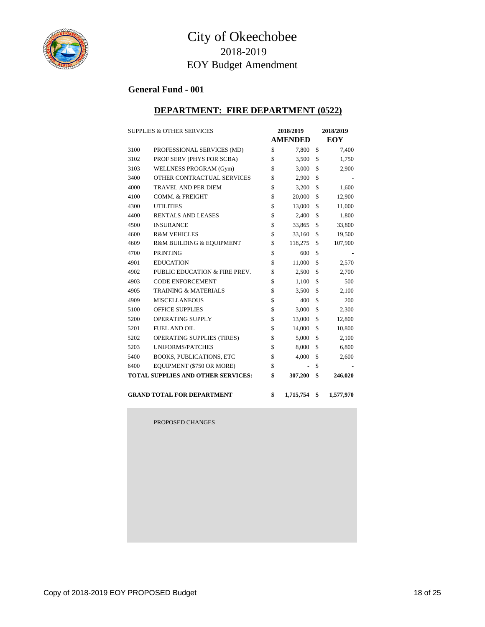

## **DEPARTMENT: FIRE DEPARTMENT (0522)**

|      | <b>SUPPLIES &amp; OTHER SERVICES</b><br>2018/2019 |    | 2018/2019      |            |           |  |
|------|---------------------------------------------------|----|----------------|------------|-----------|--|
|      |                                                   |    | <b>AMENDED</b> | <b>EOY</b> |           |  |
| 3100 | PROFESSIONAL SERVICES (MD)                        | \$ | 7,800          | \$         | 7,400     |  |
| 3102 | PROF SERV (PHYS FOR SCBA)                         | \$ | 3,500          | \$         | 1,750     |  |
| 3103 | WELLNESS PROGRAM (Gym)                            | \$ | 3,000          | \$         | 2,900     |  |
| 3400 | OTHER CONTRACTUAL SERVICES                        | \$ | 2,900          | \$         |           |  |
| 4000 | <b>TRAVEL AND PER DIEM</b>                        | \$ | 3,200          | \$         | 1,600     |  |
| 4100 | COMM. & FREIGHT                                   | \$ | 20,000         | \$         | 12,900    |  |
| 4300 | <b>UTILITIES</b>                                  | \$ | 13,000         | \$         | 11,000    |  |
| 4400 | <b>RENTALS AND LEASES</b>                         | \$ | 2,400          | \$         | 1,800     |  |
| 4500 | <b>INSURANCE</b>                                  | \$ | 33,865         | \$         | 33,800    |  |
| 4600 | <b>R&amp;M VEHICLES</b>                           | \$ | 33,160         | \$         | 19,500    |  |
| 4609 | R&M BUILDING & EQUIPMENT                          | \$ | 118,275        | \$         | 107,900   |  |
| 4700 | <b>PRINTING</b>                                   | \$ | 600            | \$         |           |  |
| 4901 | <b>EDUCATION</b>                                  | \$ | 11,000         | \$         | 2,570     |  |
| 4902 | PUBLIC EDUCATION & FIRE PREV.                     | \$ | 2,500          | \$         | 2,700     |  |
| 4903 | <b>CODE ENFORCEMENT</b>                           | \$ | 1,100          | \$         | 500       |  |
| 4905 | <b>TRAINING &amp; MATERIALS</b>                   | \$ | 3,500          | \$         | 2,100     |  |
| 4909 | <b>MISCELLANEOUS</b>                              | \$ | 400            | \$         | 200       |  |
| 5100 | <b>OFFICE SUPPLIES</b>                            | \$ | 3,000          | \$         | 2,300     |  |
| 5200 | OPERATING SUPPLY                                  | \$ | 13,000         | \$         | 12,800    |  |
| 5201 | <b>FUEL AND OIL</b>                               | \$ | 14,000         | \$         | 10,800    |  |
| 5202 | OPERATING SUPPLIES (TIRES)                        | \$ | 5,000          | \$         | 2,100     |  |
| 5203 | <b>UNIFORMS/PATCHES</b>                           | \$ | 8,000          | \$         | 6,800     |  |
| 5400 | <b>BOOKS, PUBLICATIONS, ETC</b>                   | \$ | 4,000          | \$         | 2,600     |  |
| 6400 | EQUIPMENT (\$750 OR MORE)                         | \$ |                | \$         |           |  |
|      | <b>TOTAL SUPPLIES AND OTHER SERVICES:</b>         | \$ | 307,200        | \$         | 246,020   |  |
|      |                                                   |    |                |            |           |  |
|      | <b>GRAND TOTAL FOR DEPARTMENT</b>                 | \$ | 1,715,754      | \$         | 1,577,970 |  |

PROPOSED CHANGES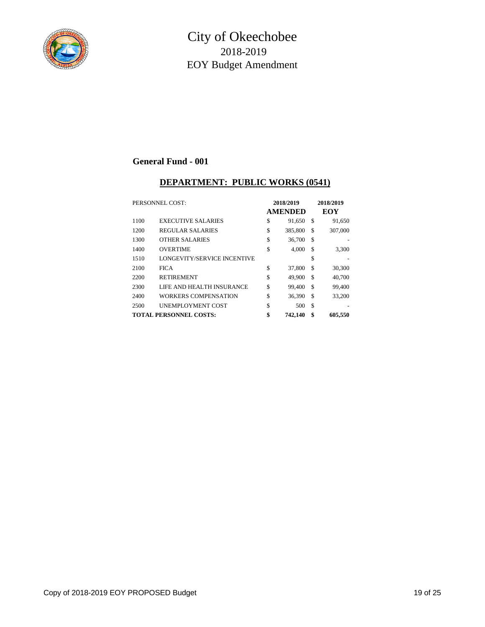

#### **DEPARTMENT: PUBLIC WORKS (0541)**

| PERSONNEL COST: |                               | 2018/2019<br><b>AMENDED</b> | 2018/2019<br>EOY |         |  |
|-----------------|-------------------------------|-----------------------------|------------------|---------|--|
| 1100            | <b>EXECUTIVE SALARIES</b>     | \$<br>91.650                | \$               | 91,650  |  |
| 1200            | <b>REGULAR SALARIES</b>       | \$<br>385,800               | \$               | 307,000 |  |
| 1300            | <b>OTHER SALARIES</b>         | \$<br>36,700                | \$               |         |  |
| 1400            | <b>OVERTIME</b>               | \$<br>4.000                 | \$               | 3,300   |  |
| 1510            | LONGEVITY/SERVICE INCENTIVE   |                             | \$               |         |  |
| 2100            | <b>FICA</b>                   | \$<br>37,800                | \$               | 30,300  |  |
| 2200            | <b>RETIREMENT</b>             | \$<br>49.900                | \$               | 40,700  |  |
| 2300            | LIFE AND HEALTH INSURANCE     | \$<br>99.400                | \$               | 99,400  |  |
| 2400            | WORKERS COMPENSATION          | \$<br>36,390                | \$               | 33,200  |  |
| 2500            | <b>UNEMPLOYMENT COST</b>      | \$<br>500                   | \$               |         |  |
|                 | <b>TOTAL PERSONNEL COSTS:</b> | \$<br>742,140               | \$               | 605,550 |  |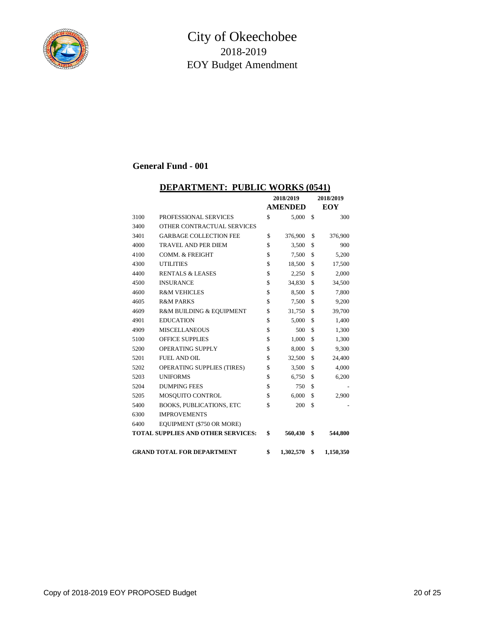

#### **DEPARTMENT: PUBLIC WORKS (0541)**

|      |                                           | 2018/2019      |           | 2018/2019       |
|------|-------------------------------------------|----------------|-----------|-----------------|
|      |                                           | <b>AMENDED</b> |           | <b>EOY</b>      |
| 3100 | PROFESSIONAL SERVICES                     | \$             | 5,000     | \$<br>300       |
| 3400 | OTHER CONTRACTUAL SERVICES                |                |           |                 |
| 3401 | <b>GARBAGE COLLECTION FEE</b>             | \$             | 376,900   | \$<br>376,900   |
| 4000 | TRAVEL AND PER DIEM                       | \$             | 3,500     | \$<br>900       |
| 4100 | <b>COMM. &amp; FREIGHT</b>                | \$             | 7,500     | \$<br>5,200     |
| 4300 | <b>UTILITIES</b>                          | \$             | 18,500    | \$<br>17,500    |
| 4400 | <b>RENTALS &amp; LEASES</b>               | \$             | 2,250     | \$<br>2,000     |
| 4500 | <b>INSURANCE</b>                          | \$             | 34,830    | \$<br>34,500    |
| 4600 | <b>R&amp;M VEHICLES</b>                   | \$             | 8,500     | \$<br>7,800     |
| 4605 | <b>R&amp;M PARKS</b>                      | \$             | 7,500     | \$<br>9,200     |
| 4609 | R&M BUILDING & EQUIPMENT                  | \$             | 31,750    | \$<br>39,700    |
| 4901 | <b>EDUCATION</b>                          | \$             | 5,000     | \$<br>1,400     |
| 4909 | <b>MISCELLANEOUS</b>                      | \$             | 500       | \$<br>1,300     |
| 5100 | <b>OFFICE SUPPLIES</b>                    | \$             | 1,000     | \$<br>1,300     |
| 5200 | OPERATING SUPPLY                          | \$             | 8,000     | \$<br>9,300     |
| 5201 | <b>FUEL AND OIL</b>                       | \$             | 32,500    | \$<br>24,400    |
| 5202 | OPERATING SUPPLIES (TIRES)                | \$             | 3,500     | \$<br>4,000     |
| 5203 | <b>UNIFORMS</b>                           | \$             | 6,750     | \$<br>6,200     |
| 5204 | <b>DUMPING FEES</b>                       | \$             | 750       | \$              |
| 5205 | MOSQUITO CONTROL                          | \$             | 6,000     | \$<br>2,900     |
| 5400 | <b>BOOKS, PUBLICATIONS, ETC</b>           | \$             | 200       | \$              |
| 6300 | <b>IMPROVEMENTS</b>                       |                |           |                 |
| 6400 | EQUIPMENT (\$750 OR MORE)                 |                |           |                 |
|      | <b>TOTAL SUPPLIES AND OTHER SERVICES:</b> | \$             | 560,430   | \$<br>544,800   |
|      |                                           |                |           |                 |
|      | <b>GRAND TOTAL FOR DEPARTMENT</b>         | \$             | 1,302,570 | \$<br>1,150,350 |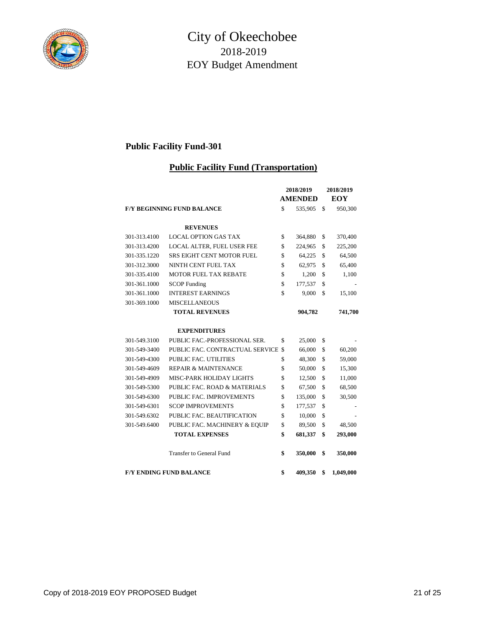

## **Public Facility Fund-301**

#### **Public Facility Fund (Transportation)**

|              |                                   | 2018/2019   |                | 2018/2019 |            |
|--------------|-----------------------------------|-------------|----------------|-----------|------------|
|              |                                   |             | <b>AMENDED</b> |           | <b>EOY</b> |
|              | <b>F/Y BEGINNING FUND BALANCE</b> | \$          | 535,905        | \$        | 950,300    |
|              | <b>REVENUES</b>                   |             |                |           |            |
| 301-313.4100 | <b>LOCAL OPTION GAS TAX</b>       | \$          | 364,880        | \$        | 370,400    |
| 301-313.4200 | LOCAL ALTER, FUEL USER FEE        | \$          | 224,965        | \$        | 225,200    |
| 301-335.1220 | <b>SRS EIGHT CENT MOTOR FUEL</b>  | \$          | 64,225         | \$        | 64,500     |
| 301-312.3000 | NINTH CENT FUEL TAX               | \$          | 62,975         | \$        | 65,400     |
| 301-335.4100 | <b>MOTOR FUEL TAX REBATE</b>      | \$          | 1,200          | \$        | 1,100      |
| 301-361.1000 | <b>SCOP</b> Funding               | \$          | 177,537        | \$        |            |
| 301-361.1000 | <b>INTEREST EARNINGS</b>          | \$          | 9,000          | \$        | 15,100     |
| 301-369.1000 | <b>MISCELLANEOUS</b>              |             |                |           |            |
|              | <b>TOTAL REVENUES</b>             |             | 904,782        |           | 741,700    |
|              | <b>EXPENDITURES</b>               |             |                |           |            |
| 301-549.3100 | PUBLIC FAC.-PROFESSIONAL SER.     | \$          | 25,000         | \$        |            |
| 301-549-3400 | PUBLIC FAC. CONTRACTUAL SERVICE   | $\mathbf S$ | 66,000         | \$        | 60,200     |
| 301-549-4300 | <b>PUBLIC FAC. UTILITIES</b>      | \$          | 48,300         | \$        | 59,000     |
| 301-549-4609 | <b>REPAIR &amp; MAINTENANCE</b>   | \$          | 50,000         | \$        | 15,300     |
| 301-549-4909 | MISC-PARK HOLIDAY LIGHTS          | \$          | 12,500         | \$        | 11,000     |
| 301-549-5300 | PUBLIC FAC. ROAD & MATERIALS      | \$          | 67,500         | \$        | 68,500     |
| 301-549-6300 | PUBLIC FAC. IMPROVEMENTS          | \$          | 135,000        | \$        | 30,500     |
| 301-549-6301 | <b>SCOP IMPROVEMENTS</b>          | \$          | 177,537        | \$        |            |
| 301-549.6302 | PUBLIC FAC. BEAUTIFICATION        | \$          | 10,000         | \$        |            |
| 301-549.6400 | PUBLIC FAC. MACHINERY & EQUIP     | \$          | 89,500         | \$        | 48,500     |
|              | <b>TOTAL EXPENSES</b>             | \$          | 681,337        | \$        | 293,000    |
|              | <b>Transfer to General Fund</b>   | \$          | 350,000        | \$        | 350,000    |
|              | <b>F/Y ENDING FUND BALANCE</b>    | \$          | 409,350        | \$        | 1,049,000  |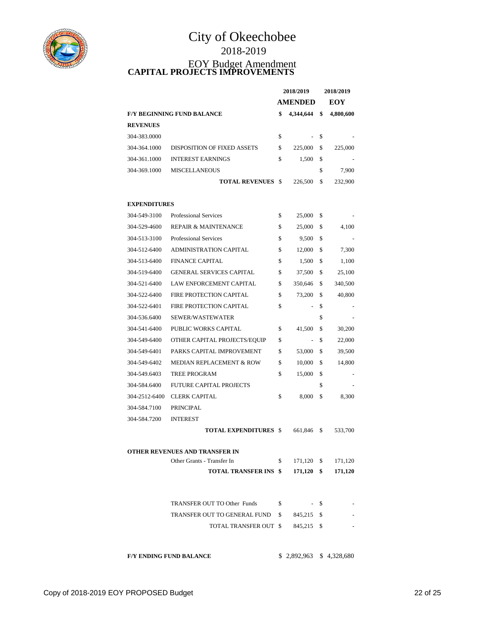

# City of Okeechobee 2018-2019 EOY Budget Amendment **CAPITAL PROJECTS IMPROVEMENTS**

|                                   |                             | 2018/2019 |                | 2018/2019 |           |
|-----------------------------------|-----------------------------|-----------|----------------|-----------|-----------|
|                                   |                             |           | <b>AMENDED</b> |           | EOY       |
| <b>F/Y BEGINNING FUND BALANCE</b> |                             | \$        | 4,344,644      | \$        | 4,800,600 |
| <b>REVENUES</b>                   |                             |           |                |           |           |
| 304-383.0000                      |                             | \$        | $\sim$         | \$        |           |
| 304-364.1000                      | DISPOSITION OF FIXED ASSETS | \$        | 225,000        | \$        | 225,000   |
| 304-361.1000                      | <b>INTEREST EARNINGS</b>    | \$        | 1.500          | \$        |           |
| 304-369.1000                      | <b>MISCELLANEOUS</b>        |           |                | \$        | 7.900     |
|                                   | <b>TOTAL REVENUES</b>       |           | 226,500        | \$        | 232,900   |

#### **EXPENDITURES**

| 304-549-3100  | <b>Professional Services</b>        | \$<br>25,000                   | \$            |
|---------------|-------------------------------------|--------------------------------|---------------|
| 304-529-4600  | <b>REPAIR &amp; MAINTENANCE</b>     | \$<br>25,000                   | \$<br>4,100   |
| 304-513-3100  | <b>Professional Services</b>        | \$<br>9,500                    | \$            |
| 304-512-6400  | <b>ADMINISTRATION CAPITAL</b>       | \$<br>12,000                   | \$<br>7,300   |
| 304-513-6400  | <b>FINANCE CAPITAL</b>              | \$<br>1,500                    | \$<br>1,100   |
| 304-519-6400  | <b>GENERAL SERVICES CAPITAL</b>     | \$<br>37,500                   | \$<br>25,100  |
| 304-521-6400  | LAW ENFORCEMENT CAPITAL             | \$<br>350,646                  | \$<br>340,500 |
| 304-522-6400  | FIRE PROTECTION CAPITAL             | \$<br>73,200                   | \$<br>40,800  |
| 304-522-6401  | FIRE PROTECTION CAPITAL             | \$<br>$\frac{1}{2}$            | \$            |
| 304-536.6400  | SEWER/WASTEWATER                    |                                | \$            |
| 304-541-6400  | PUBLIC WORKS CAPITAL                | \$<br>41,500                   | \$<br>30,200  |
| 304-549-6400  | OTHER CAPITAL PROJECTS/EQUIP        | \$<br>$\overline{\phantom{a}}$ | \$<br>22,000  |
| 304-549-6401  | PARKS CAPITAL IMPROVEMENT           | \$<br>53,000                   | \$<br>39,500  |
| 304-549-6402  | <b>MEDIAN REPLACEMENT &amp; ROW</b> | \$<br>10,000                   | \$<br>14,800  |
| 304-549.6403  | <b>TREE PROGRAM</b>                 | \$<br>15,000                   | \$            |
| 304-584.6400  | <b>FUTURE CAPITAL PROJECTS</b>      |                                | \$            |
| 304-2512-6400 | <b>CLERK CAPITAL</b>                | \$<br>8,000                    | \$<br>8,300   |
| 304-584.7100  | <b>PRINCIPAL</b>                    |                                |               |
| 304-584.7200  | <b>INTEREST</b>                     |                                |               |
|               | <b>TOTAL EXPENDITURES \$</b>        | 661,846                        | \$<br>533,700 |
|               | OTHER REVENUES AND TRANSFER IN      |                                |               |
|               | Other Grants - Transfer In          | \$<br>171,120                  | \$<br>171,120 |
|               | <b>TOTAL TRANSFER INS \$</b>        | 171,120                        | \$<br>171,120 |
|               | TRANSFER OUT TO Other Funds         | \$                             | \$            |
|               | TRANSFER OUT TO GENERAL FUND        | \$<br>845,215                  | \$            |
|               | TOTAL TRANSFER OUT                  | \$<br>845,215                  | \$            |
|               |                                     |                                |               |
|               | <b>F/Y ENDING FUND BALANCE</b>      | \$2,892,963                    | \$4,328,680   |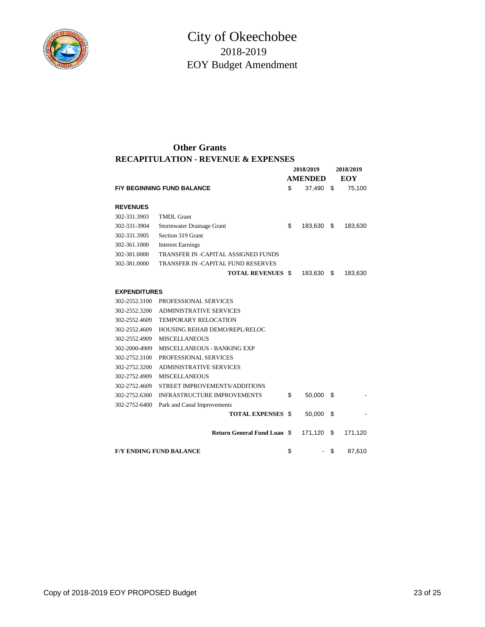

#### **RECAPITULATION - REVENUE & EXPENSES Other Grants**

|                     |                                                | 2018/2019 |                          | 2018/2019 |            |
|---------------------|------------------------------------------------|-----------|--------------------------|-----------|------------|
|                     |                                                |           | <b>AMENDED</b>           |           | <b>EOY</b> |
|                     | <b>F/Y BEGINNING FUND BALANCE</b>              | \$        | 37,490                   | \$        | 75,100     |
| <b>REVENUES</b>     |                                                |           |                          |           |            |
| 302-331.3903        | <b>TMDL</b> Grant                              |           |                          |           |            |
| 302-331-3904        |                                                | \$        |                          | \$        |            |
|                     | Stormwater Drainage Grant<br>Section 319 Grant |           | 183,630                  |           | 183,630    |
| 302-331.3905        |                                                |           |                          |           |            |
| 302-361.1000        | <b>Interest Earnings</b>                       |           |                          |           |            |
| 302-381.0000        | TRANSFER IN -CAPITAL ASSIGNED FUNDS            |           |                          |           |            |
| 302-381.0000        | <b>TRANSFER IN -CAPITAL FUND RESERVES</b>      |           |                          |           |            |
|                     | <b>TOTAL REVENUES \$</b>                       |           | 183,630                  | \$        | 183,630    |
| <b>EXPENDITURES</b> |                                                |           |                          |           |            |
| 302-2552.3100       | <b>PROFESSIONAL SERVICES</b>                   |           |                          |           |            |
| 302-2552.3200       | <b>ADMINISTRATIVE SERVICES</b>                 |           |                          |           |            |
| 302-2552.4609       | <b>TEMPORARY RELOCATION</b>                    |           |                          |           |            |
| 302-2552.4609       | HOUSING REHAB DEMO/REPL/RELOC                  |           |                          |           |            |
| 302-2552.4909       | <b>MISCELLANEOUS</b>                           |           |                          |           |            |
| 302-2000-4909       | MISCELLANEOUS - BANKING EXP                    |           |                          |           |            |
| 302-2752.3100       | PROFESSIONAL SERVICES                          |           |                          |           |            |
| 302-2752.3200       | <b>ADMINISTRATIVE SERVICES</b>                 |           |                          |           |            |
| 302-2752.4909       | <b>MISCELLANEOUS</b>                           |           |                          |           |            |
| 302-2752.4609       | STREET IMPROVEMENTS/ADDITIONS                  |           |                          |           |            |
| 302-2752.6300       | <b>INFRASTRUCTURE IMPROVEMENTS</b>             | \$        | 50,000                   | S         |            |
| 302-2752-6400       | Park and Canal Improvements                    |           |                          |           |            |
|                     | <b>TOTAL EXPENSES \$</b>                       |           | 50,000                   | \$        |            |
|                     |                                                |           |                          |           |            |
|                     | <b>Return General Fund Loan \$</b>             |           | 171,120                  | S         | 171,120    |
|                     | <b>F/Y ENDING FUND BALANCE</b>                 | \$        | $\overline{\phantom{a}}$ | \$        | 87.610     |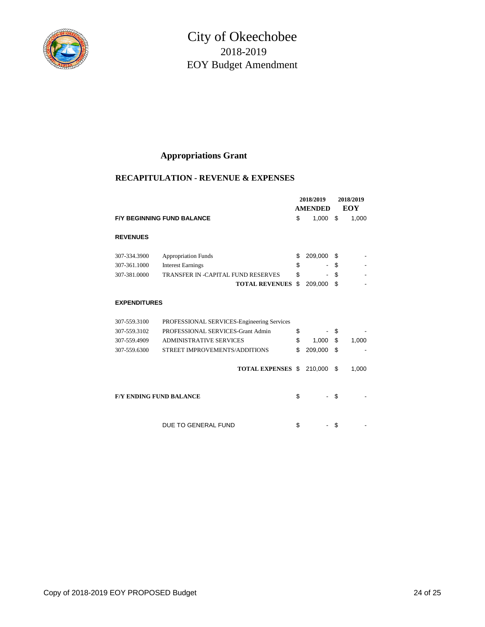

## **Appropriations Grant**

#### **RECAPITULATION - REVENUE & EXPENSES**

|                                |                                            | 2018/2019      |         | 2018/2019  |       |
|--------------------------------|--------------------------------------------|----------------|---------|------------|-------|
|                                |                                            | <b>AMENDED</b> |         | <b>EOY</b> |       |
|                                | <b>F/Y BEGINNING FUND BALANCE</b>          | \$             | 1,000   | \$         | 1,000 |
| <b>REVENUES</b>                |                                            |                |         |            |       |
| 307-334.3900                   | <b>Appropriation Funds</b>                 | \$             | 209,000 | \$         |       |
| 307-361.1000                   | <b>Interest Earnings</b>                   | \$             |         | \$         |       |
| 307-381.0000                   | <b>TRANSFER IN -CAPITAL FUND RESERVES</b>  | \$             |         | \$         |       |
|                                | <b>TOTAL REVENUES</b>                      | \$             | 209,000 | \$         |       |
| <b>EXPENDITURES</b>            |                                            |                |         |            |       |
| 307-559.3100                   | PROFESSIONAL SERVICES-Engineering Services |                |         |            |       |
| 307-559.3102                   | PROFESSIONAL SERVICES-Grant Admin          | \$             |         | \$         |       |
| 307-559.4909                   | <b>ADMINISTRATIVE SERVICES</b>             | \$             | 1,000   | \$         | 1,000 |
| 307-559.6300                   | STREET IMPROVEMENTS/ADDITIONS              | \$             | 209,000 | \$         |       |
|                                | <b>TOTAL EXPENSES \$</b>                   |                | 210,000 | \$         | 1,000 |
| <b>F/Y ENDING FUND BALANCE</b> |                                            | \$             |         | \$         |       |
|                                | DUE TO GENERAL FUND                        | \$             |         | S          |       |